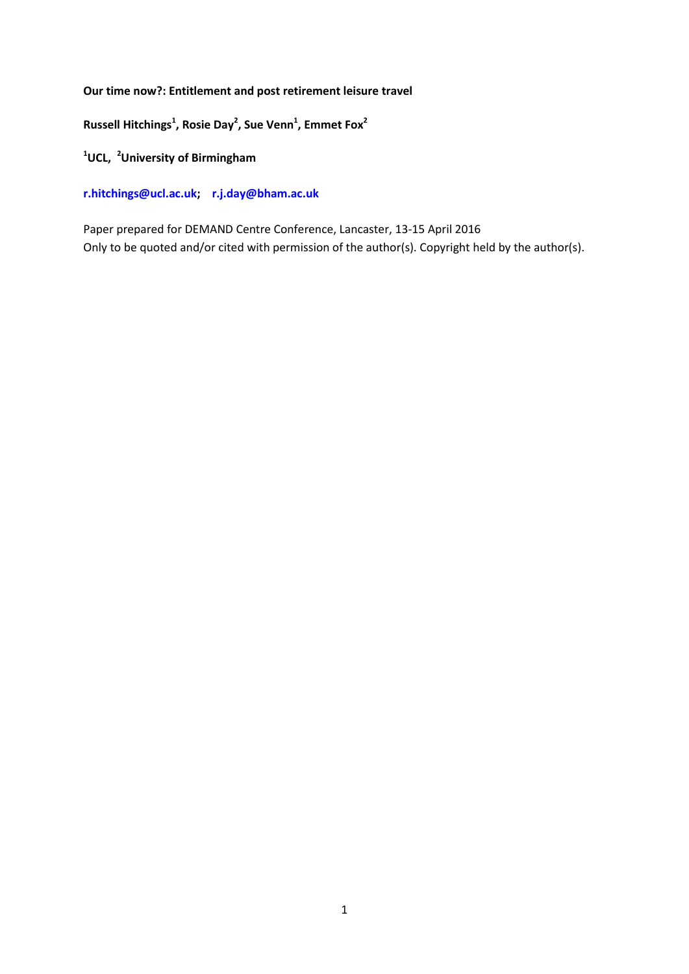**Our time now?: Entitlement and post retirement leisure travel**

**Russell Hitchings<sup>1</sup> , Rosie Day<sup>2</sup> , Sue Venn<sup>1</sup> , Emmet Fox<sup>2</sup>**

**<sup>1</sup>UCL, <sup>2</sup>University of Birmingham**

**[r.hitchings@ucl.ac.uk;](mailto:r.hitchings@ucl.ac.uk) [r.j.day@bham.ac.uk](mailto:r.j.day@bham.ac.uk)**

Paper prepared for DEMAND Centre Conference, Lancaster, 13-15 April 2016 Only to be quoted and/or cited with permission of the author(s). Copyright held by the author(s).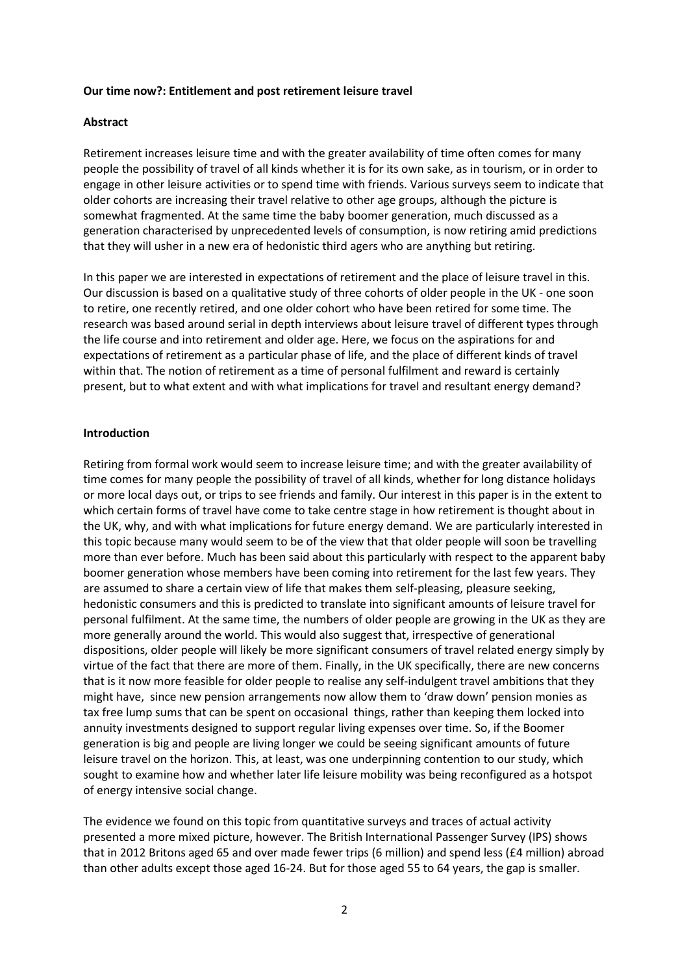#### **Our time now?: Entitlement and post retirement leisure travel**

## **Abstract**

Retirement increases leisure time and with the greater availability of time often comes for many people the possibility of travel of all kinds whether it is for its own sake, as in tourism, or in order to engage in other leisure activities or to spend time with friends. Various surveys seem to indicate that older cohorts are increasing their travel relative to other age groups, although the picture is somewhat fragmented. At the same time the baby boomer generation, much discussed as a generation characterised by unprecedented levels of consumption, is now retiring amid predictions that they will usher in a new era of hedonistic third agers who are anything but retiring.

In this paper we are interested in expectations of retirement and the place of leisure travel in this. Our discussion is based on a qualitative study of three cohorts of older people in the UK - one soon to retire, one recently retired, and one older cohort who have been retired for some time. The research was based around serial in depth interviews about leisure travel of different types through the life course and into retirement and older age. Here, we focus on the aspirations for and expectations of retirement as a particular phase of life, and the place of different kinds of travel within that. The notion of retirement as a time of personal fulfilment and reward is certainly present, but to what extent and with what implications for travel and resultant energy demand?

#### **Introduction**

Retiring from formal work would seem to increase leisure time; and with the greater availability of time comes for many people the possibility of travel of all kinds, whether for long distance holidays or more local days out, or trips to see friends and family. Our interest in this paper is in the extent to which certain forms of travel have come to take centre stage in how retirement is thought about in the UK, why, and with what implications for future energy demand. We are particularly interested in this topic because many would seem to be of the view that that older people will soon be travelling more than ever before. Much has been said about this particularly with respect to the apparent baby boomer generation whose members have been coming into retirement for the last few years. They are assumed to share a certain view of life that makes them self-pleasing, pleasure seeking, hedonistic consumers and this is predicted to translate into significant amounts of leisure travel for personal fulfilment. At the same time, the numbers of older people are growing in the UK as they are more generally around the world. This would also suggest that, irrespective of generational dispositions, older people will likely be more significant consumers of travel related energy simply by virtue of the fact that there are more of them. Finally, in the UK specifically, there are new concerns that is it now more feasible for older people to realise any self-indulgent travel ambitions that they might have, since new pension arrangements now allow them to 'draw down' pension monies as tax free lump sums that can be spent on occasional things, rather than keeping them locked into annuity investments designed to support regular living expenses over time. So, if the Boomer generation is big and people are living longer we could be seeing significant amounts of future leisure travel on the horizon. This, at least, was one underpinning contention to our study, which sought to examine how and whether later life leisure mobility was being reconfigured as a hotspot of energy intensive social change.

The evidence we found on this topic from quantitative surveys and traces of actual activity presented a more mixed picture, however. The British International Passenger Survey (IPS) shows that in 2012 Britons aged 65 and over made fewer trips (6 million) and spend less (£4 million) abroad than other adults except those aged 16-24. But for those aged 55 to 64 years, the gap is smaller.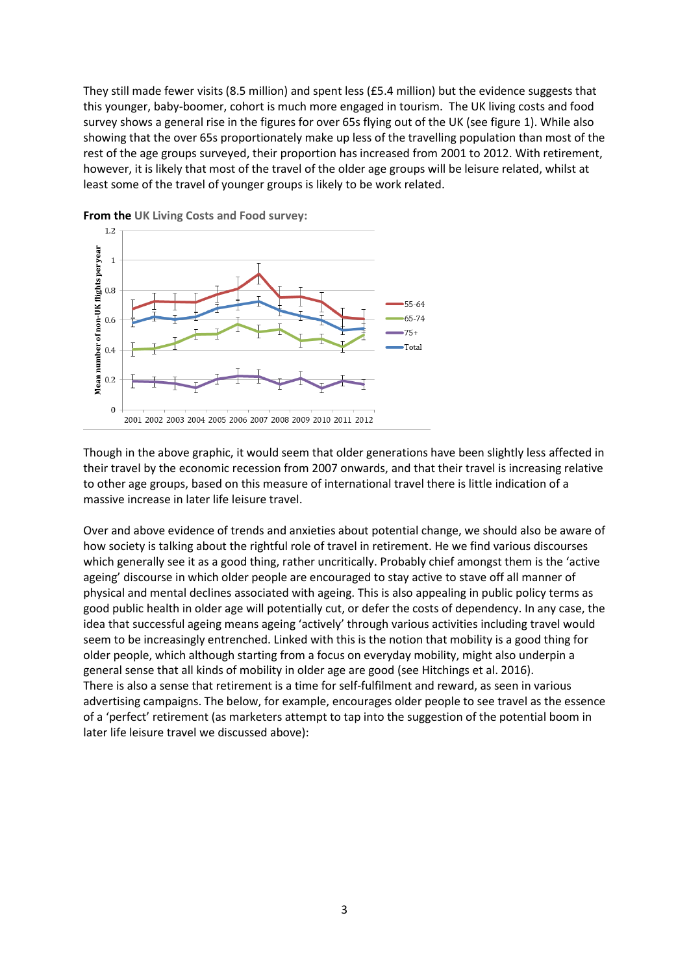They still made fewer visits (8.5 million) and spent less (£5.4 million) but the evidence suggests that this younger, baby-boomer, cohort is much more engaged in tourism. The UK living costs and food survey shows a general rise in the figures for over 65s flying out of the UK (see figure 1). While also showing that the over 65s proportionately make up less of the travelling population than most of the rest of the age groups surveyed, their proportion has increased from 2001 to 2012. With retirement, however, it is likely that most of the travel of the older age groups will be leisure related, whilst at least some of the travel of younger groups is likely to be work related.



**From the UK Living Costs and Food survey:**

Though in the above graphic, it would seem that older generations have been slightly less affected in their travel by the economic recession from 2007 onwards, and that their travel is increasing relative to other age groups, based on this measure of international travel there is little indication of a massive increase in later life leisure travel.

Over and above evidence of trends and anxieties about potential change, we should also be aware of how society is talking about the rightful role of travel in retirement. He we find various discourses which generally see it as a good thing, rather uncritically. Probably chief amongst them is the 'active ageing' discourse in which older people are encouraged to stay active to stave off all manner of physical and mental declines associated with ageing. This is also appealing in public policy terms as good public health in older age will potentially cut, or defer the costs of dependency. In any case, the idea that successful ageing means ageing 'actively' through various activities including travel would seem to be increasingly entrenched. Linked with this is the notion that mobility is a good thing for older people, which although starting from a focus on everyday mobility, might also underpin a general sense that all kinds of mobility in older age are good (see Hitchings et al. 2016). There is also a sense that retirement is a time for self-fulfilment and reward, as seen in various advertising campaigns. The below, for example, encourages older people to see travel as the essence of a 'perfect' retirement (as marketers attempt to tap into the suggestion of the potential boom in later life leisure travel we discussed above):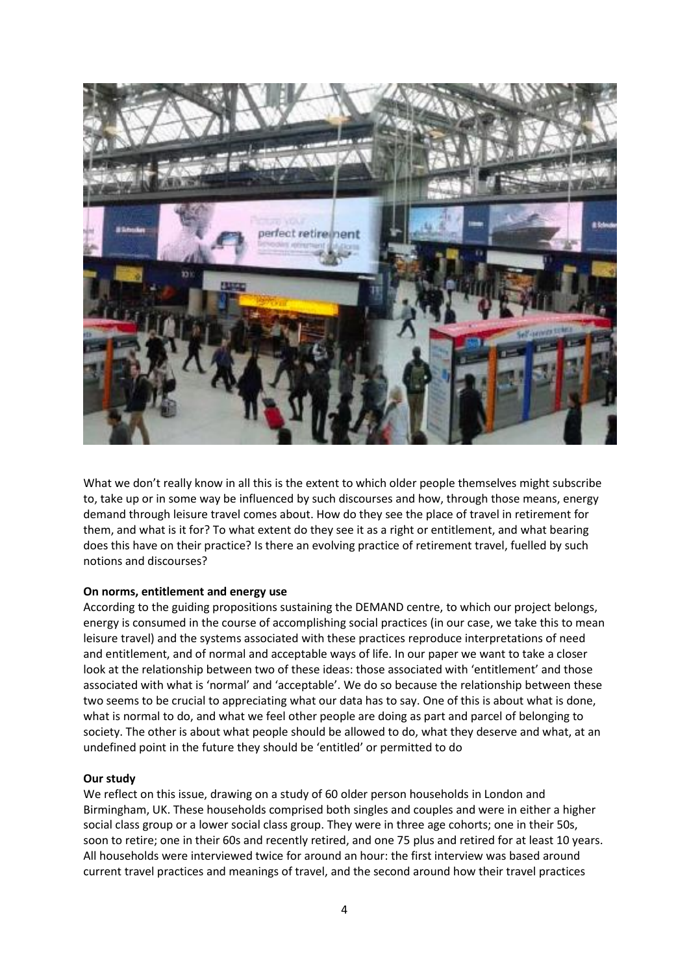

What we don't really know in all this is the extent to which older people themselves might subscribe to, take up or in some way be influenced by such discourses and how, through those means, energy demand through leisure travel comes about. How do they see the place of travel in retirement for them, and what is it for? To what extent do they see it as a right or entitlement, and what bearing does this have on their practice? Is there an evolving practice of retirement travel, fuelled by such notions and discourses?

## **On norms, entitlement and energy use**

According to the guiding propositions sustaining the DEMAND centre, to which our project belongs, energy is consumed in the course of accomplishing social practices (in our case, we take this to mean leisure travel) and the systems associated with these practices reproduce interpretations of need and entitlement, and of normal and acceptable ways of life. In our paper we want to take a closer look at the relationship between two of these ideas: those associated with 'entitlement' and those associated with what is 'normal' and 'acceptable'. We do so because the relationship between these two seems to be crucial to appreciating what our data has to say. One of this is about what is done, what is normal to do, and what we feel other people are doing as part and parcel of belonging to society. The other is about what people should be allowed to do, what they deserve and what, at an undefined point in the future they should be 'entitled' or permitted to do

#### **Our study**

We reflect on this issue, drawing on a study of 60 older person households in London and Birmingham, UK. These households comprised both singles and couples and were in either a higher social class group or a lower social class group. They were in three age cohorts; one in their 50s, soon to retire; one in their 60s and recently retired, and one 75 plus and retired for at least 10 years. All households were interviewed twice for around an hour: the first interview was based around current travel practices and meanings of travel, and the second around how their travel practices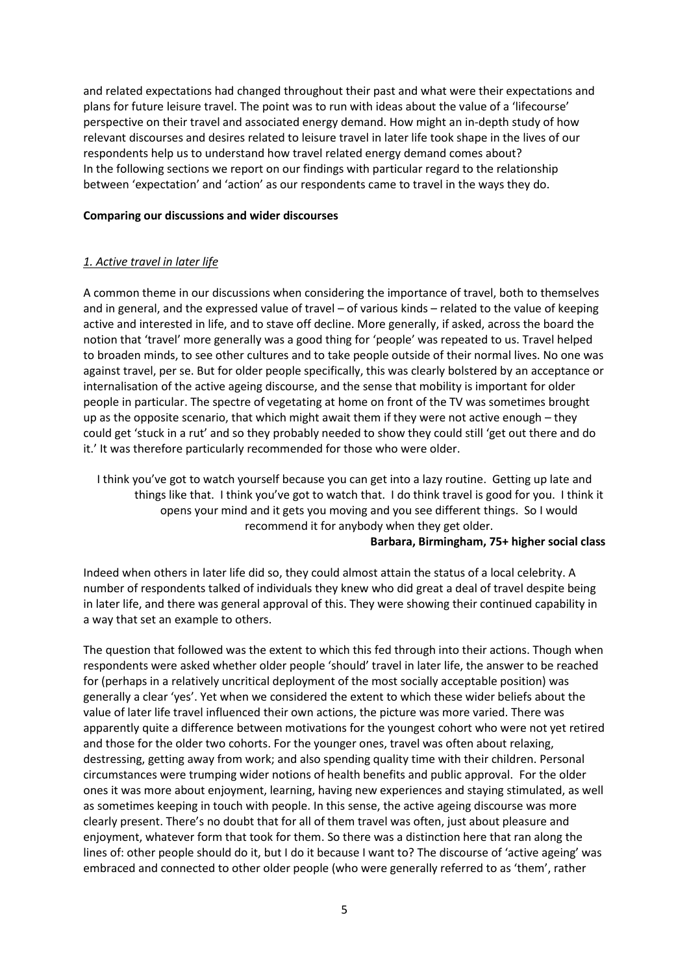and related expectations had changed throughout their past and what were their expectations and plans for future leisure travel. The point was to run with ideas about the value of a 'lifecourse' perspective on their travel and associated energy demand. How might an in-depth study of how relevant discourses and desires related to leisure travel in later life took shape in the lives of our respondents help us to understand how travel related energy demand comes about? In the following sections we report on our findings with particular regard to the relationship between 'expectation' and 'action' as our respondents came to travel in the ways they do.

# **Comparing our discussions and wider discourses**

# *1. Active travel in later life*

A common theme in our discussions when considering the importance of travel, both to themselves and in general, and the expressed value of travel – of various kinds – related to the value of keeping active and interested in life, and to stave off decline. More generally, if asked, across the board the notion that 'travel' more generally was a good thing for 'people' was repeated to us. Travel helped to broaden minds, to see other cultures and to take people outside of their normal lives. No one was against travel, per se. But for older people specifically, this was clearly bolstered by an acceptance or internalisation of the active ageing discourse, and the sense that mobility is important for older people in particular. The spectre of vegetating at home on front of the TV was sometimes brought up as the opposite scenario, that which might await them if they were not active enough – they could get 'stuck in a rut' and so they probably needed to show they could still 'get out there and do it.' It was therefore particularly recommended for those who were older.

I think you've got to watch yourself because you can get into a lazy routine. Getting up late and things like that. I think you've got to watch that. I do think travel is good for you. I think it opens your mind and it gets you moving and you see different things. So I would recommend it for anybody when they get older.

## **Barbara, Birmingham, 75+ higher social class**

Indeed when others in later life did so, they could almost attain the status of a local celebrity. A number of respondents talked of individuals they knew who did great a deal of travel despite being in later life, and there was general approval of this. They were showing their continued capability in a way that set an example to others.

The question that followed was the extent to which this fed through into their actions. Though when respondents were asked whether older people 'should' travel in later life, the answer to be reached for (perhaps in a relatively uncritical deployment of the most socially acceptable position) was generally a clear 'yes'. Yet when we considered the extent to which these wider beliefs about the value of later life travel influenced their own actions, the picture was more varied. There was apparently quite a difference between motivations for the youngest cohort who were not yet retired and those for the older two cohorts. For the younger ones, travel was often about relaxing, destressing, getting away from work; and also spending quality time with their children. Personal circumstances were trumping wider notions of health benefits and public approval. For the older ones it was more about enjoyment, learning, having new experiences and staying stimulated, as well as sometimes keeping in touch with people. In this sense, the active ageing discourse was more clearly present. There's no doubt that for all of them travel was often, just about pleasure and enjoyment, whatever form that took for them. So there was a distinction here that ran along the lines of: other people should do it, but I do it because I want to? The discourse of 'active ageing' was embraced and connected to other older people (who were generally referred to as 'them', rather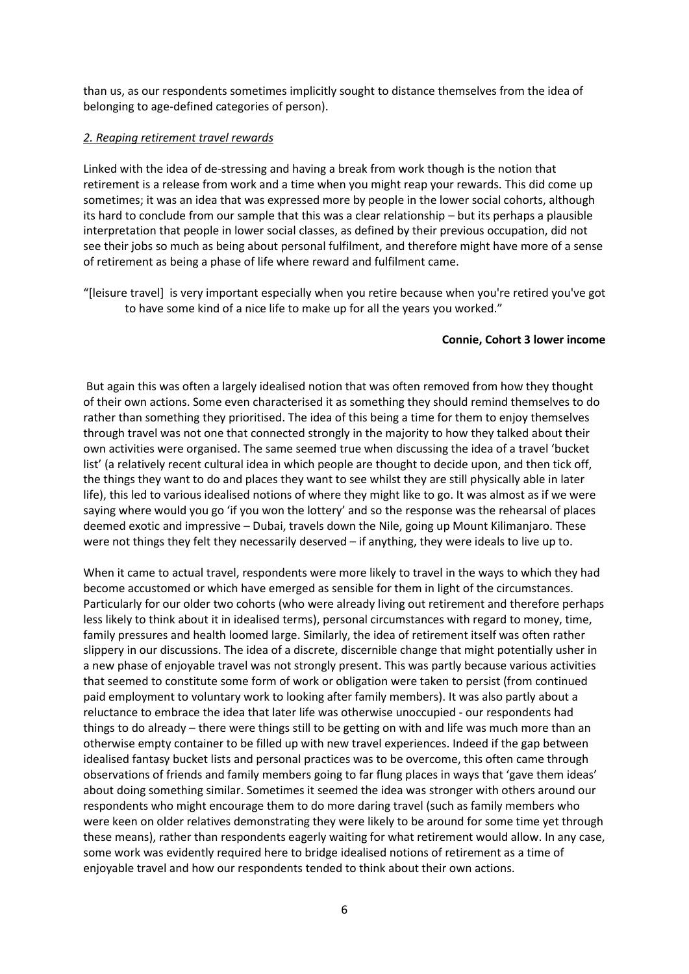than us, as our respondents sometimes implicitly sought to distance themselves from the idea of belonging to age-defined categories of person).

## *2. Reaping retirement travel rewards*

Linked with the idea of de-stressing and having a break from work though is the notion that retirement is a release from work and a time when you might reap your rewards. This did come up sometimes; it was an idea that was expressed more by people in the lower social cohorts, although its hard to conclude from our sample that this was a clear relationship – but its perhaps a plausible interpretation that people in lower social classes, as defined by their previous occupation, did not see their jobs so much as being about personal fulfilment, and therefore might have more of a sense of retirement as being a phase of life where reward and fulfilment came.

"[leisure travel] is very important especially when you retire because when you're retired you've got to have some kind of a nice life to make up for all the years you worked."

#### **Connie, Cohort 3 lower income**

But again this was often a largely idealised notion that was often removed from how they thought of their own actions. Some even characterised it as something they should remind themselves to do rather than something they prioritised. The idea of this being a time for them to enjoy themselves through travel was not one that connected strongly in the majority to how they talked about their own activities were organised. The same seemed true when discussing the idea of a travel 'bucket list' (a relatively recent cultural idea in which people are thought to decide upon, and then tick off, the things they want to do and places they want to see whilst they are still physically able in later life), this led to various idealised notions of where they might like to go. It was almost as if we were saying where would you go 'if you won the lottery' and so the response was the rehearsal of places deemed exotic and impressive – Dubai, travels down the Nile, going up Mount Kilimanjaro. These were not things they felt they necessarily deserved – if anything, they were ideals to live up to.

When it came to actual travel, respondents were more likely to travel in the ways to which they had become accustomed or which have emerged as sensible for them in light of the circumstances. Particularly for our older two cohorts (who were already living out retirement and therefore perhaps less likely to think about it in idealised terms), personal circumstances with regard to money, time, family pressures and health loomed large. Similarly, the idea of retirement itself was often rather slippery in our discussions. The idea of a discrete, discernible change that might potentially usher in a new phase of enjoyable travel was not strongly present. This was partly because various activities that seemed to constitute some form of work or obligation were taken to persist (from continued paid employment to voluntary work to looking after family members). It was also partly about a reluctance to embrace the idea that later life was otherwise unoccupied - our respondents had things to do already – there were things still to be getting on with and life was much more than an otherwise empty container to be filled up with new travel experiences. Indeed if the gap between idealised fantasy bucket lists and personal practices was to be overcome, this often came through observations of friends and family members going to far flung places in ways that 'gave them ideas' about doing something similar. Sometimes it seemed the idea was stronger with others around our respondents who might encourage them to do more daring travel (such as family members who were keen on older relatives demonstrating they were likely to be around for some time yet through these means), rather than respondents eagerly waiting for what retirement would allow. In any case, some work was evidently required here to bridge idealised notions of retirement as a time of enjoyable travel and how our respondents tended to think about their own actions.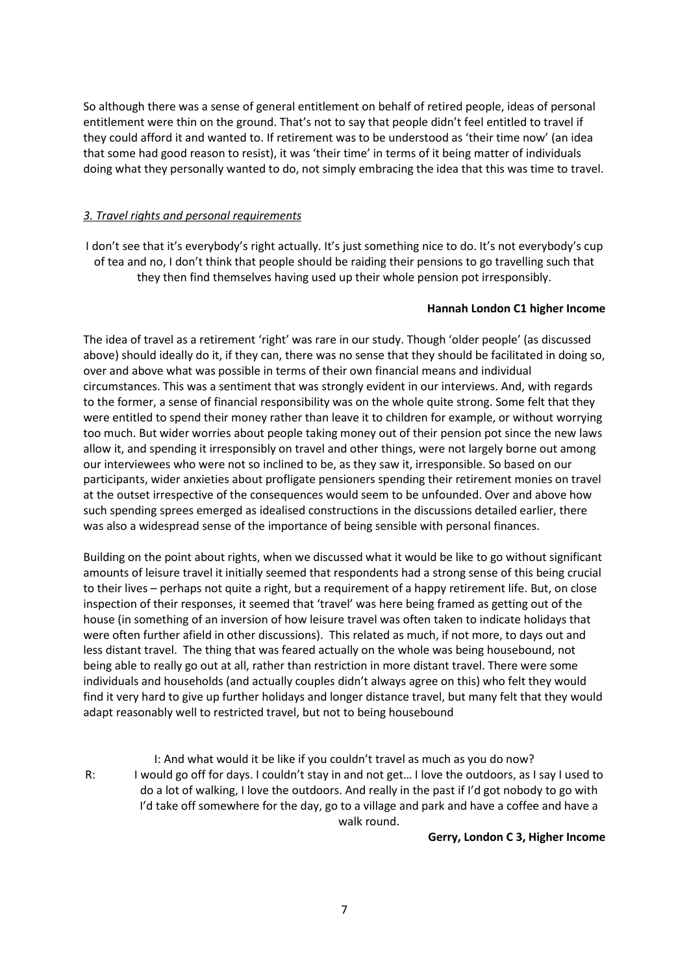So although there was a sense of general entitlement on behalf of retired people, ideas of personal entitlement were thin on the ground. That's not to say that people didn't feel entitled to travel if they could afford it and wanted to. If retirement was to be understood as 'their time now' (an idea that some had good reason to resist), it was 'their time' in terms of it being matter of individuals doing what they personally wanted to do, not simply embracing the idea that this was time to travel.

# *3. Travel rights and personal requirements*

I don't see that it's everybody's right actually. It's just something nice to do. It's not everybody's cup of tea and no, I don't think that people should be raiding their pensions to go travelling such that they then find themselves having used up their whole pension pot irresponsibly.

#### **Hannah London C1 higher Income**

The idea of travel as a retirement 'right' was rare in our study. Though 'older people' (as discussed above) should ideally do it, if they can, there was no sense that they should be facilitated in doing so, over and above what was possible in terms of their own financial means and individual circumstances. This was a sentiment that was strongly evident in our interviews. And, with regards to the former, a sense of financial responsibility was on the whole quite strong. Some felt that they were entitled to spend their money rather than leave it to children for example, or without worrying too much. But wider worries about people taking money out of their pension pot since the new laws allow it, and spending it irresponsibly on travel and other things, were not largely borne out among our interviewees who were not so inclined to be, as they saw it, irresponsible. So based on our participants, wider anxieties about profligate pensioners spending their retirement monies on travel at the outset irrespective of the consequences would seem to be unfounded. Over and above how such spending sprees emerged as idealised constructions in the discussions detailed earlier, there was also a widespread sense of the importance of being sensible with personal finances.

Building on the point about rights, when we discussed what it would be like to go without significant amounts of leisure travel it initially seemed that respondents had a strong sense of this being crucial to their lives – perhaps not quite a right, but a requirement of a happy retirement life. But, on close inspection of their responses, it seemed that 'travel' was here being framed as getting out of the house (in something of an inversion of how leisure travel was often taken to indicate holidays that were often further afield in other discussions). This related as much, if not more, to days out and less distant travel. The thing that was feared actually on the whole was being housebound, not being able to really go out at all, rather than restriction in more distant travel. There were some individuals and households (and actually couples didn't always agree on this) who felt they would find it very hard to give up further holidays and longer distance travel, but many felt that they would adapt reasonably well to restricted travel, but not to being housebound

I: And what would it be like if you couldn't travel as much as you do now? R: I would go off for days. I couldn't stay in and not get… I love the outdoors, as I say I used to do a lot of walking, I love the outdoors. And really in the past if I'd got nobody to go with I'd take off somewhere for the day, go to a village and park and have a coffee and have a walk round.

**Gerry, London C 3, Higher Income**